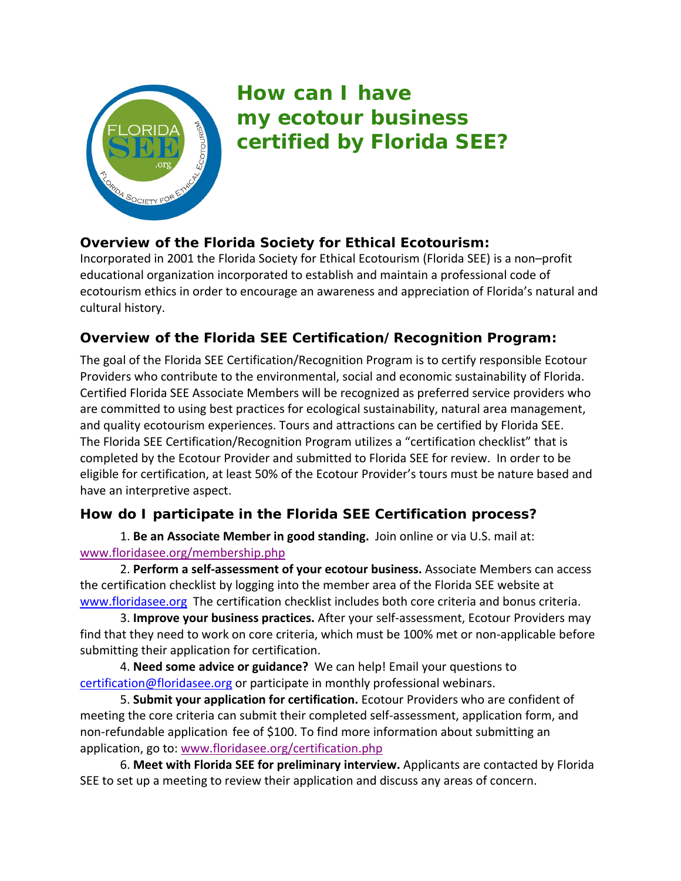

# **How can I have my ecotour business certified by Florida SEE?**

# **Overview of the Florida Society for Ethical Ecotourism:**

Incorporated in 2001 the Florida Society for Ethical Ecotourism (Florida SEE) is a non–profit educational organization incorporated to establish and maintain a professional code of ecotourism ethics in order to encourage an awareness and appreciation of Florida's natural and cultural history.

# **Overview of the Florida SEE Certification/Recognition Program:**

The goal of the Florida SEE Certification/Recognition Program is to certify responsible Ecotour Providers who contribute to the environmental, social and economic sustainability of Florida. Certified Florida SEE Associate Members will be recognized as preferred service providers who are committed to using best practices for ecological sustainability, natural area management, and quality ecotourism experiences. Tours and attractions can be certified by Florida SEE. The Florida SEE Certification/Recognition Program utilizes a "certification checklist" that is completed by the Ecotour Provider and submitted to Florida SEE for review. In order to be eligible for certification, at least 50% of the Ecotour Provider's tours must be nature based and have an interpretive aspect.

#### **How do I participate in the Florida SEE Certification process?**

1. **Be an Associate Member in good standing.** Join online or via U.S. mail at: www.floridasee.org/membership.php

2. **Perform a self‐assessment of your ecotour business.** Associate Members can access the certification checklist by logging into the member area of the Florida SEE website at www.floridasee.org The certification checklist includes both core criteria and bonus criteria.

3. **Improve your business practices.** After your self‐assessment, Ecotour Providers may find that they need to work on core criteria, which must be 100% met or non-applicable before submitting their application for certification.

4. **Need some advice or guidance?** We can help! Email your questions to certification@floridasee.org or participate in monthly professional webinars.

5. **Submit your application for certification.** Ecotour Providers who are confident of meeting the core criteria can submit their completed self‐assessment, application form, and non‐refundable application fee of \$100. To find more information about submitting an application, go to: www.floridasee.org/certification.php

6. **Meet with Florida SEE for preliminary interview.** Applicants are contacted by Florida SEE to set up a meeting to review their application and discuss any areas of concern.